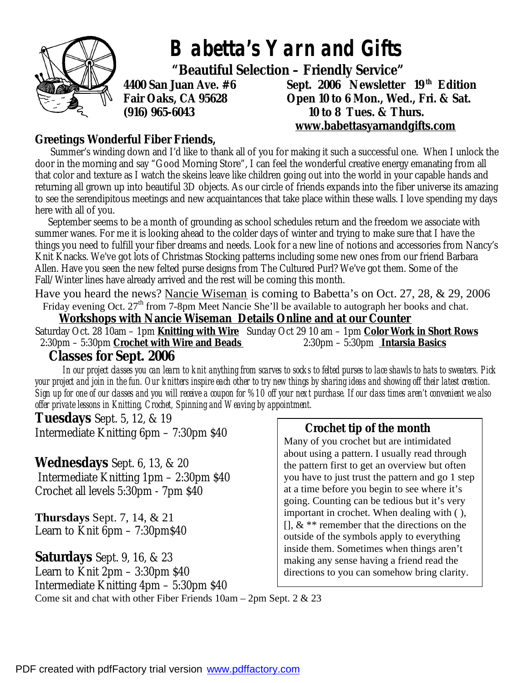

# **Greetings Wonderful Fiber Friends,**

Summer's winding down and I'd like to thank all of you for making it such a successful one. When I unlock the door in the morning and say "Good Morning Store", I can feel the wonderful creative energy emanating from all that color and texture as I watch the skeins leave like children going out into the world in your capable hands and returning all grown up into beautiful 3D objects. As our circle of friends expands into the fiber universe its amazing to see the serendipitous meetings and new acquaintances that take place within these walls. I love spending my days here with all of you.

 September seems to be a month of grounding as school schedules return and the freedom we associate with summer wanes. For me it is looking ahead to the colder days of winter and trying to make sure that I have the things you need to fulfill your fiber dreams and needs. Look for a new line of notions and accessories from Nancy's Knit Knacks. We've got lots of Christmas Stocking patterns including some new ones from our friend Barbara Allen. Have you seen the new felted purse designs from The Cultured Purl? We've got them. Some of the Fall/Winter lines have already arrived and the rest will be coming this month.

Have you heard the news? Nancie Wiseman is coming to Babetta's on Oct. 27, 28, & 29, 2006 Friday evening Oct. 27<sup>th</sup> from 7-8pm Meet Nancie She'll be available to autograph her books and chat.

 **Workshops with Nancie Wiseman Details Online and at our Counter**  Saturday Oct. 28 10am – 1pm **Knitting with Wire** Sunday Oct 29 10 am – 1pm **Color Work in Short Rows** 2:30pm – 5:30pm **Crochet with Wire and Beads** 2:30pm – 5:30pm **Intarsia Basics**

# **Classes for Sept. 2006**

 *In our project classes you can learn to knit anything from scarves to socks to felted purses to lace shawls to hats to sweaters. Pick your project and join in the fun. Our knitters inspire each other to try new things by sharing ideas and showing off their latest creation. Sign up for one of our classes and you will receive a coupon for %10 off your next purchase. If our class times aren't convenient we also offer private lessons in Knitting, Crochet, Spinning and Weaving by appointment.* 

**Tuesdays** Sept. 5, 12, & 19 Intermediate Knitting 6pm – 7:30pm \$40

## **Wednesdays** Sept. 6, 13, & 20

 Intermediate Knitting 1pm – 2:30pm \$40 Crochet all levels 5:30pm - 7pm \$40

**Thursdays** Sept. 7, 14, & 21 Learn to Knit 6pm – 7:30pm\$40

**Saturdays** Sept. 9, 16, & 23 Learn to Knit 2pm – 3:30pm \$40 Intermediate Knitting 4pm – 5:30pm \$40 Come sit and chat with other Fiber Friends 10am – 2pm Sept. 2 & 23

## **Crochet tip of the month**

Many of you crochet but are intimidated about using a pattern. I usually read through the pattern first to get an overview but often you have to just trust the pattern and go 1 step at a time before you begin to see where it's going. Counting can be tedious but it's very important in crochet. When dealing with ( ),  $[$ ],  $\&$  \*\* remember that the directions on the outside of the symbols apply to everything inside them. Sometimes when things aren't making any sense having a friend read the directions to you can somehow bring clarity.